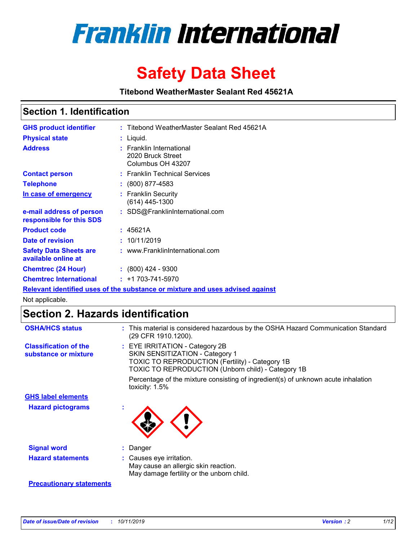

# **Safety Data Sheet**

**Titebond WeatherMaster Sealant Red 45621A**

### **Section 1. Identification**

| <b>GHS product identifier</b>                                                 |  | : Titebond WeatherMaster Sealant Red 45621A                        |  |  |  |
|-------------------------------------------------------------------------------|--|--------------------------------------------------------------------|--|--|--|
| <b>Physical state</b>                                                         |  | : Liquid.                                                          |  |  |  |
| <b>Address</b>                                                                |  | : Franklin International<br>2020 Bruck Street<br>Columbus OH 43207 |  |  |  |
| <b>Contact person</b>                                                         |  | : Franklin Technical Services                                      |  |  |  |
| <b>Telephone</b>                                                              |  | $\div$ (800) 877-4583                                              |  |  |  |
| In case of emergency                                                          |  | : Franklin Security<br>(614) 445-1300                              |  |  |  |
| e-mail address of person<br>responsible for this SDS                          |  | : SDS@FranklinInternational.com                                    |  |  |  |
| <b>Product code</b>                                                           |  | : 45621A                                                           |  |  |  |
| Date of revision                                                              |  | : 10/11/2019                                                       |  |  |  |
| <b>Safety Data Sheets are</b><br>available online at                          |  | : www.FranklinInternational.com                                    |  |  |  |
| <b>Chemtrec (24 Hour)</b>                                                     |  | $\div$ (800) 424 - 9300                                            |  |  |  |
| <b>Chemtrec International</b>                                                 |  | $: +1703 - 741 - 5970$                                             |  |  |  |
| Relevant identified uses of the substance or mixture and uses advised against |  |                                                                    |  |  |  |

Not applicable.

## **Section 2. Hazards identification**

| <b>OSHA/HCS status</b>                               | : This material is considered hazardous by the OSHA Hazard Communication Standard<br>(29 CFR 1910.1200).                                                                                 |
|------------------------------------------------------|------------------------------------------------------------------------------------------------------------------------------------------------------------------------------------------|
| <b>Classification of the</b><br>substance or mixture | : EYE IRRITATION - Category 2B<br>SKIN SENSITIZATION - Category 1<br><b>TOXIC TO REPRODUCTION (Fertility) - Category 1B</b><br><b>TOXIC TO REPRODUCTION (Unborn child) - Category 1B</b> |
|                                                      | Percentage of the mixture consisting of ingredient(s) of unknown acute inhalation<br>toxicity: $1.5\%$                                                                                   |
| <b>GHS label elements</b>                            |                                                                                                                                                                                          |
| <b>Hazard pictograms</b>                             |                                                                                                                                                                                          |
| <b>Signal word</b>                                   | : Danger                                                                                                                                                                                 |
| <b>Hazard statements</b>                             | : Causes eye irritation.<br>May cause an allergic skin reaction.<br>May damage fertility or the unborn child.                                                                            |
| <b>Precautionary statements</b>                      |                                                                                                                                                                                          |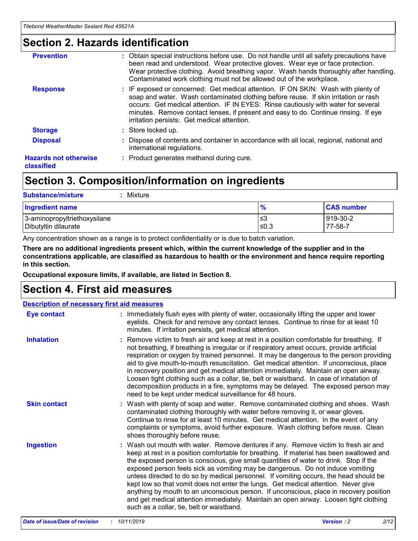### **Section 2. Hazards identification**

| <b>Prevention</b>                          | : Obtain special instructions before use. Do not handle until all safety precautions have<br>been read and understood. Wear protective gloves. Wear eye or face protection.<br>Wear protective clothing. Avoid breathing vapor. Wash hands thoroughly after handling.<br>Contaminated work clothing must not be allowed out of the workplace.                                                        |
|--------------------------------------------|------------------------------------------------------------------------------------------------------------------------------------------------------------------------------------------------------------------------------------------------------------------------------------------------------------------------------------------------------------------------------------------------------|
| <b>Response</b>                            | : IF exposed or concerned: Get medical attention. IF ON SKIN: Wash with plenty of<br>soap and water. Wash contaminated clothing before reuse. If skin irritation or rash<br>occurs: Get medical attention. IF IN EYES: Rinse cautiously with water for several<br>minutes. Remove contact lenses, if present and easy to do. Continue rinsing. If eye<br>irritation persists: Get medical attention. |
| <b>Storage</b>                             | : Store locked up.                                                                                                                                                                                                                                                                                                                                                                                   |
| <b>Disposal</b>                            | : Dispose of contents and container in accordance with all local, regional, national and<br>international regulations.                                                                                                                                                                                                                                                                               |
| <b>Hazards not otherwise</b><br>classified | : Product generates methanol during cure.                                                                                                                                                                                                                                                                                                                                                            |
|                                            |                                                                                                                                                                                                                                                                                                                                                                                                      |

### **Section 3. Composition/information on ingredients**

| <b>Substance/mixture</b><br>Mixture                  |                   |                     |
|------------------------------------------------------|-------------------|---------------------|
| <b>Ingredient name</b>                               | $\frac{9}{6}$     | <b>CAS number</b>   |
| 3-aminopropyltriethoxysilane<br>Dibutyltin dilaurate | l≤3<br>$\leq 0.3$ | 919-30-2<br>77-58-7 |

Any concentration shown as a range is to protect confidentiality or is due to batch variation.

**There are no additional ingredients present which, within the current knowledge of the supplier and in the concentrations applicable, are classified as hazardous to health or the environment and hence require reporting in this section.**

**Occupational exposure limits, if available, are listed in Section 8.**

### **Section 4. First aid measures**

| <b>Description of necessary first aid measures</b> |                                                                                                                                                                                                                                                                                                                                                                                                                                                                                                                                                                                                                                                                                                                                                                           |  |  |  |
|----------------------------------------------------|---------------------------------------------------------------------------------------------------------------------------------------------------------------------------------------------------------------------------------------------------------------------------------------------------------------------------------------------------------------------------------------------------------------------------------------------------------------------------------------------------------------------------------------------------------------------------------------------------------------------------------------------------------------------------------------------------------------------------------------------------------------------------|--|--|--|
| <b>Eye contact</b>                                 | : Immediately flush eyes with plenty of water, occasionally lifting the upper and lower<br>eyelids. Check for and remove any contact lenses. Continue to rinse for at least 10<br>minutes. If irritation persists, get medical attention.                                                                                                                                                                                                                                                                                                                                                                                                                                                                                                                                 |  |  |  |
| <b>Inhalation</b>                                  | : Remove victim to fresh air and keep at rest in a position comfortable for breathing. If<br>not breathing, if breathing is irregular or if respiratory arrest occurs, provide artificial<br>respiration or oxygen by trained personnel. It may be dangerous to the person providing<br>aid to give mouth-to-mouth resuscitation. Get medical attention. If unconscious, place<br>in recovery position and get medical attention immediately. Maintain an open airway.<br>Loosen tight clothing such as a collar, tie, belt or waistband. In case of inhalation of<br>decomposition products in a fire, symptoms may be delayed. The exposed person may<br>need to be kept under medical surveillance for 48 hours.                                                       |  |  |  |
| <b>Skin contact</b>                                | : Wash with plenty of soap and water. Remove contaminated clothing and shoes. Wash<br>contaminated clothing thoroughly with water before removing it, or wear gloves.<br>Continue to rinse for at least 10 minutes. Get medical attention. In the event of any<br>complaints or symptoms, avoid further exposure. Wash clothing before reuse. Clean<br>shoes thoroughly before reuse.                                                                                                                                                                                                                                                                                                                                                                                     |  |  |  |
| <b>Ingestion</b>                                   | : Wash out mouth with water. Remove dentures if any. Remove victim to fresh air and<br>keep at rest in a position comfortable for breathing. If material has been swallowed and<br>the exposed person is conscious, give small quantities of water to drink. Stop if the<br>exposed person feels sick as vomiting may be dangerous. Do not induce vomiting<br>unless directed to do so by medical personnel. If vomiting occurs, the head should be<br>kept low so that vomit does not enter the lungs. Get medical attention. Never give<br>anything by mouth to an unconscious person. If unconscious, place in recovery position<br>and get medical attention immediately. Maintain an open airway. Loosen tight clothing<br>such as a collar, tie, belt or waistband. |  |  |  |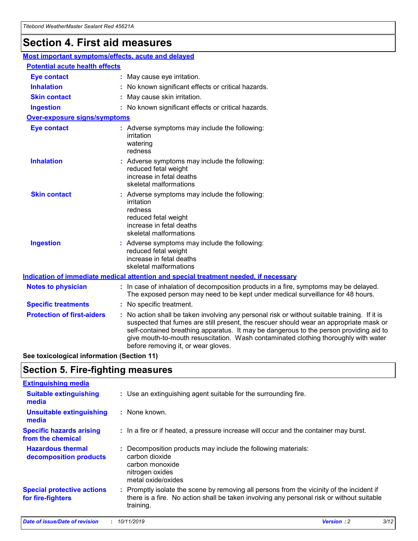## **Section 4. First aid measures**

| Most important symptoms/effects, acute and delayed |  |                                                                                                                                                                                                                                                                                                                                                                                                                 |  |
|----------------------------------------------------|--|-----------------------------------------------------------------------------------------------------------------------------------------------------------------------------------------------------------------------------------------------------------------------------------------------------------------------------------------------------------------------------------------------------------------|--|
| <b>Potential acute health effects</b>              |  |                                                                                                                                                                                                                                                                                                                                                                                                                 |  |
| <b>Eye contact</b>                                 |  | : May cause eye irritation.                                                                                                                                                                                                                                                                                                                                                                                     |  |
| <b>Inhalation</b>                                  |  | : No known significant effects or critical hazards.                                                                                                                                                                                                                                                                                                                                                             |  |
| <b>Skin contact</b>                                |  | : May cause skin irritation.                                                                                                                                                                                                                                                                                                                                                                                    |  |
| <b>Ingestion</b>                                   |  | : No known significant effects or critical hazards.                                                                                                                                                                                                                                                                                                                                                             |  |
| Over-exposure signs/symptoms                       |  |                                                                                                                                                                                                                                                                                                                                                                                                                 |  |
| <b>Eye contact</b>                                 |  | : Adverse symptoms may include the following:<br>irritation<br>watering<br>redness                                                                                                                                                                                                                                                                                                                              |  |
| <b>Inhalation</b>                                  |  | : Adverse symptoms may include the following:<br>reduced fetal weight<br>increase in fetal deaths<br>skeletal malformations                                                                                                                                                                                                                                                                                     |  |
| <b>Skin contact</b>                                |  | : Adverse symptoms may include the following:<br>irritation<br>redness<br>reduced fetal weight<br>increase in fetal deaths<br>skeletal malformations                                                                                                                                                                                                                                                            |  |
| <b>Ingestion</b>                                   |  | : Adverse symptoms may include the following:<br>reduced fetal weight<br>increase in fetal deaths<br>skeletal malformations                                                                                                                                                                                                                                                                                     |  |
|                                                    |  | <b>Indication of immediate medical attention and special treatment needed, if necessary</b>                                                                                                                                                                                                                                                                                                                     |  |
| <b>Notes to physician</b>                          |  | : In case of inhalation of decomposition products in a fire, symptoms may be delayed.<br>The exposed person may need to be kept under medical surveillance for 48 hours.                                                                                                                                                                                                                                        |  |
| <b>Specific treatments</b>                         |  | : No specific treatment.                                                                                                                                                                                                                                                                                                                                                                                        |  |
| <b>Protection of first-aiders</b>                  |  | : No action shall be taken involving any personal risk or without suitable training. If it is<br>suspected that fumes are still present, the rescuer should wear an appropriate mask or<br>self-contained breathing apparatus. It may be dangerous to the person providing aid to<br>give mouth-to-mouth resuscitation. Wash contaminated clothing thoroughly with water<br>before removing it, or wear gloves. |  |

**See toxicological information (Section 11)**

### **Section 5. Fire-fighting measures**

| <b>Extinguishing media</b>                             |                                                                                                                                                                                                     |
|--------------------------------------------------------|-----------------------------------------------------------------------------------------------------------------------------------------------------------------------------------------------------|
| <b>Suitable extinguishing</b><br>media                 | : Use an extinguishing agent suitable for the surrounding fire.                                                                                                                                     |
| <b>Unsuitable extinguishing</b><br>media               | : None known.                                                                                                                                                                                       |
| <b>Specific hazards arising</b><br>from the chemical   | : In a fire or if heated, a pressure increase will occur and the container may burst.                                                                                                               |
| <b>Hazardous thermal</b><br>decomposition products     | : Decomposition products may include the following materials:<br>carbon dioxide<br>carbon monoxide<br>nitrogen oxides<br>metal oxide/oxides                                                         |
| <b>Special protective actions</b><br>for fire-fighters | : Promptly isolate the scene by removing all persons from the vicinity of the incident if<br>there is a fire. No action shall be taken involving any personal risk or without suitable<br>training. |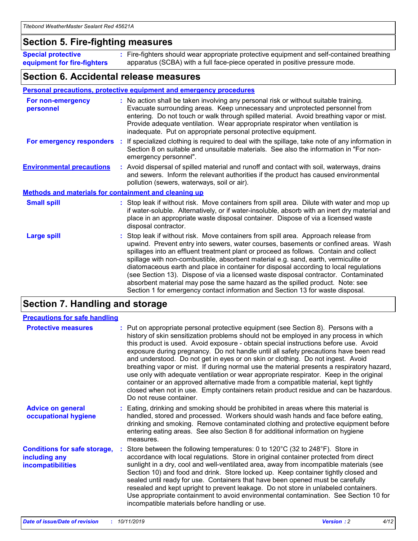### **Section 5. Fire-fighting measures**

**Special protective equipment for fire-fighters** Fire-fighters should wear appropriate protective equipment and self-contained breathing **:** apparatus (SCBA) with a full face-piece operated in positive pressure mode.

### **Section 6. Accidental release measures**

#### **Personal precautions, protective equipment and emergency procedures**

| For non-emergency<br>personnel                               | : No action shall be taken involving any personal risk or without suitable training.<br>Evacuate surrounding areas. Keep unnecessary and unprotected personnel from<br>entering. Do not touch or walk through spilled material. Avoid breathing vapor or mist.<br>Provide adequate ventilation. Wear appropriate respirator when ventilation is<br>inadequate. Put on appropriate personal protective equipment.                                                                                                                                                                                                                                                                                             |
|--------------------------------------------------------------|--------------------------------------------------------------------------------------------------------------------------------------------------------------------------------------------------------------------------------------------------------------------------------------------------------------------------------------------------------------------------------------------------------------------------------------------------------------------------------------------------------------------------------------------------------------------------------------------------------------------------------------------------------------------------------------------------------------|
|                                                              | For emergency responders : If specialized clothing is required to deal with the spillage, take note of any information in<br>Section 8 on suitable and unsuitable materials. See also the information in "For non-<br>emergency personnel".                                                                                                                                                                                                                                                                                                                                                                                                                                                                  |
| <b>Environmental precautions</b>                             | : Avoid dispersal of spilled material and runoff and contact with soil, waterways, drains<br>and sewers. Inform the relevant authorities if the product has caused environmental<br>pollution (sewers, waterways, soil or air).                                                                                                                                                                                                                                                                                                                                                                                                                                                                              |
| <b>Methods and materials for containment and cleaning up</b> |                                                                                                                                                                                                                                                                                                                                                                                                                                                                                                                                                                                                                                                                                                              |
| <b>Small spill</b>                                           | : Stop leak if without risk. Move containers from spill area. Dilute with water and mop up<br>if water-soluble. Alternatively, or if water-insoluble, absorb with an inert dry material and<br>place in an appropriate waste disposal container. Dispose of via a licensed waste<br>disposal contractor.                                                                                                                                                                                                                                                                                                                                                                                                     |
| <b>Large spill</b>                                           | : Stop leak if without risk. Move containers from spill area. Approach release from<br>upwind. Prevent entry into sewers, water courses, basements or confined areas. Wash<br>spillages into an effluent treatment plant or proceed as follows. Contain and collect<br>spillage with non-combustible, absorbent material e.g. sand, earth, vermiculite or<br>diatomaceous earth and place in container for disposal according to local regulations<br>(see Section 13). Dispose of via a licensed waste disposal contractor. Contaminated<br>absorbent material may pose the same hazard as the spilled product. Note: see<br>Section 1 for emergency contact information and Section 13 for waste disposal. |

### **Section 7. Handling and storage**

| <b>Precautions for safe handling</b>                                             |                                                                                                                                                                                                                                                                                                                                                                                                                                                                                                                                                                                                                                                                                                                                                                                                                                                  |
|----------------------------------------------------------------------------------|--------------------------------------------------------------------------------------------------------------------------------------------------------------------------------------------------------------------------------------------------------------------------------------------------------------------------------------------------------------------------------------------------------------------------------------------------------------------------------------------------------------------------------------------------------------------------------------------------------------------------------------------------------------------------------------------------------------------------------------------------------------------------------------------------------------------------------------------------|
| <b>Protective measures</b>                                                       | : Put on appropriate personal protective equipment (see Section 8). Persons with a<br>history of skin sensitization problems should not be employed in any process in which<br>this product is used. Avoid exposure - obtain special instructions before use. Avoid<br>exposure during pregnancy. Do not handle until all safety precautions have been read<br>and understood. Do not get in eyes or on skin or clothing. Do not ingest. Avoid<br>breathing vapor or mist. If during normal use the material presents a respiratory hazard,<br>use only with adequate ventilation or wear appropriate respirator. Keep in the original<br>container or an approved alternative made from a compatible material, kept tightly<br>closed when not in use. Empty containers retain product residue and can be hazardous.<br>Do not reuse container. |
| <b>Advice on general</b><br>occupational hygiene                                 | : Eating, drinking and smoking should be prohibited in areas where this material is<br>handled, stored and processed. Workers should wash hands and face before eating,<br>drinking and smoking. Remove contaminated clothing and protective equipment before<br>entering eating areas. See also Section 8 for additional information on hygiene<br>measures.                                                                                                                                                                                                                                                                                                                                                                                                                                                                                    |
| <b>Conditions for safe storage,</b><br>including any<br><b>incompatibilities</b> | Store between the following temperatures: 0 to 120 $\degree$ C (32 to 248 $\degree$ F). Store in<br>accordance with local regulations. Store in original container protected from direct<br>sunlight in a dry, cool and well-ventilated area, away from incompatible materials (see<br>Section 10) and food and drink. Store locked up. Keep container tightly closed and<br>sealed until ready for use. Containers that have been opened must be carefully<br>resealed and kept upright to prevent leakage. Do not store in unlabeled containers.<br>Use appropriate containment to avoid environmental contamination. See Section 10 for<br>incompatible materials before handling or use.                                                                                                                                                     |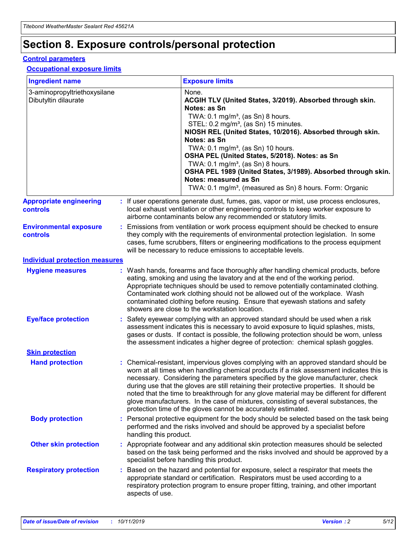## **Section 8. Exposure controls/personal protection**

#### **Control parameters**

#### **Occupational exposure limits**

| <b>Ingredient name</b>                               |    |                        | <b>Exposure limits</b>                                                                                                                                                                                                                                                                                                                                                                                                                                                                                                                                                                                                 |
|------------------------------------------------------|----|------------------------|------------------------------------------------------------------------------------------------------------------------------------------------------------------------------------------------------------------------------------------------------------------------------------------------------------------------------------------------------------------------------------------------------------------------------------------------------------------------------------------------------------------------------------------------------------------------------------------------------------------------|
| 3-aminopropyltriethoxysilane<br>Dibutyltin dilaurate |    |                        | None.<br>ACGIH TLV (United States, 3/2019). Absorbed through skin.<br>Notes: as Sn<br>TWA: $0.1 \text{ mg/m}^3$ , (as Sn) 8 hours.<br>STEL: 0.2 mg/m <sup>3</sup> , (as Sn) 15 minutes.<br>NIOSH REL (United States, 10/2016). Absorbed through skin.<br>Notes: as Sn<br>TWA: 0.1 mg/m <sup>3</sup> , (as Sn) 10 hours.<br>OSHA PEL (United States, 5/2018). Notes: as Sn<br>TWA: $0.1 \text{ mg/m}^3$ , (as Sn) 8 hours.<br>OSHA PEL 1989 (United States, 3/1989). Absorbed through skin.<br>Notes: measured as Sn<br>TWA: 0.1 mg/m <sup>3</sup> , (measured as Sn) 8 hours. Form: Organic                            |
| <b>Appropriate engineering</b><br>controls           |    |                        | : If user operations generate dust, fumes, gas, vapor or mist, use process enclosures,<br>local exhaust ventilation or other engineering controls to keep worker exposure to<br>airborne contaminants below any recommended or statutory limits.                                                                                                                                                                                                                                                                                                                                                                       |
| <b>Environmental exposure</b><br>controls            |    |                        | Emissions from ventilation or work process equipment should be checked to ensure<br>they comply with the requirements of environmental protection legislation. In some<br>cases, fume scrubbers, filters or engineering modifications to the process equipment<br>will be necessary to reduce emissions to acceptable levels.                                                                                                                                                                                                                                                                                          |
| <b>Individual protection measures</b>                |    |                        |                                                                                                                                                                                                                                                                                                                                                                                                                                                                                                                                                                                                                        |
| <b>Hygiene measures</b>                              |    |                        | : Wash hands, forearms and face thoroughly after handling chemical products, before<br>eating, smoking and using the lavatory and at the end of the working period.<br>Appropriate techniques should be used to remove potentially contaminated clothing.<br>Contaminated work clothing should not be allowed out of the workplace. Wash<br>contaminated clothing before reusing. Ensure that eyewash stations and safety<br>showers are close to the workstation location.                                                                                                                                            |
| <b>Eye/face protection</b>                           |    |                        | : Safety eyewear complying with an approved standard should be used when a risk<br>assessment indicates this is necessary to avoid exposure to liquid splashes, mists,<br>gases or dusts. If contact is possible, the following protection should be worn, unless<br>the assessment indicates a higher degree of protection: chemical splash goggles.                                                                                                                                                                                                                                                                  |
| <b>Skin protection</b>                               |    |                        |                                                                                                                                                                                                                                                                                                                                                                                                                                                                                                                                                                                                                        |
| <b>Hand protection</b>                               |    |                        | : Chemical-resistant, impervious gloves complying with an approved standard should be<br>worn at all times when handling chemical products if a risk assessment indicates this is<br>necessary. Considering the parameters specified by the glove manufacturer, check<br>during use that the gloves are still retaining their protective properties. It should be<br>noted that the time to breakthrough for any glove material may be different for different<br>glove manufacturers. In the case of mixtures, consisting of several substances, the<br>protection time of the gloves cannot be accurately estimated. |
| <b>Body protection</b>                               |    | handling this product. | Personal protective equipment for the body should be selected based on the task being<br>performed and the risks involved and should be approved by a specialist before                                                                                                                                                                                                                                                                                                                                                                                                                                                |
| <b>Other skin protection</b>                         |    |                        | : Appropriate footwear and any additional skin protection measures should be selected<br>based on the task being performed and the risks involved and should be approved by a<br>specialist before handling this product.                                                                                                                                                                                                                                                                                                                                                                                              |
| <b>Respiratory protection</b>                        | ÷. | aspects of use.        | Based on the hazard and potential for exposure, select a respirator that meets the<br>appropriate standard or certification. Respirators must be used according to a<br>respiratory protection program to ensure proper fitting, training, and other important                                                                                                                                                                                                                                                                                                                                                         |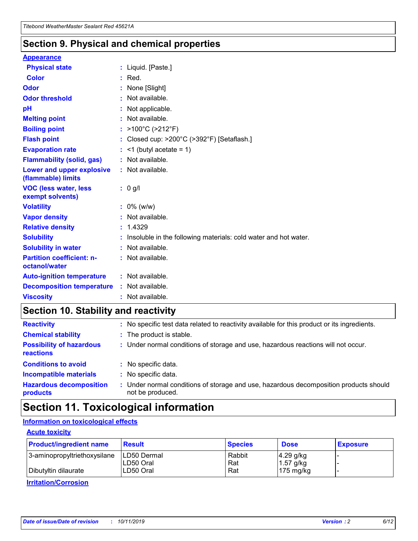### **Section 9. Physical and chemical properties**

#### **Appearance**

| <b>Physical state</b>                             | : Liquid. [Paste.]                                              |
|---------------------------------------------------|-----------------------------------------------------------------|
| <b>Color</b>                                      | $:$ Red.                                                        |
| Odor                                              | : None [Slight]                                                 |
| <b>Odor threshold</b>                             | $:$ Not available.                                              |
| рH                                                | : Not applicable.                                               |
| <b>Melting point</b>                              | : Not available.                                                |
| <b>Boiling point</b>                              | : >100°C (>212°F)                                               |
| <b>Flash point</b>                                | : Closed cup: >200°C (>392°F) [Setaflash.]                      |
| <b>Evaporation rate</b>                           | $:$ <1 (butyl acetate = 1)                                      |
| <b>Flammability (solid, gas)</b>                  | : Not available.                                                |
| Lower and upper explosive<br>(flammable) limits   | : Not available.                                                |
| <b>VOC (less water, less</b><br>exempt solvents)  | $: 0$ g/l                                                       |
| <b>Volatility</b>                                 | $: 0\%$ (w/w)                                                   |
| <b>Vapor density</b>                              | : Not available.                                                |
| <b>Relative density</b>                           | : 1.4329                                                        |
| <b>Solubility</b>                                 | Insoluble in the following materials: cold water and hot water. |
| <b>Solubility in water</b>                        | : Not available.                                                |
| <b>Partition coefficient: n-</b><br>octanol/water | $:$ Not available.                                              |
| <b>Auto-ignition temperature</b>                  | : Not available.                                                |
| <b>Decomposition temperature</b>                  | : Not available.                                                |
| <b>Viscosity</b>                                  | : Not available.                                                |

### **Section 10. Stability and reactivity**

| <b>Reactivity</b>                            | : No specific test data related to reactivity available for this product or its ingredients.            |
|----------------------------------------------|---------------------------------------------------------------------------------------------------------|
| <b>Chemical stability</b>                    | : The product is stable.                                                                                |
| <b>Possibility of hazardous</b><br>reactions | : Under normal conditions of storage and use, hazardous reactions will not occur.                       |
| <b>Conditions to avoid</b>                   | : No specific data.                                                                                     |
| <b>Incompatible materials</b>                | : No specific data.                                                                                     |
| <b>Hazardous decomposition</b><br>products   | Under normal conditions of storage and use, hazardous decomposition products should<br>not be produced. |

### **Section 11. Toxicological information**

### **Information on toxicological effects**

#### **Acute toxicity**

| <b>Product/ingredient name</b> | <b>Result</b>           | <b>Species</b> | <b>Dose</b>                | <b>Exposure</b> |
|--------------------------------|-------------------------|----------------|----------------------------|-----------------|
| 3-aminopropyltriethoxysilane   | <b>ILD50 Dermal</b>     | Rabbit         | 4.29 g/kg                  |                 |
| Dibutyltin dilaurate           | ILD50 Oral<br>LD50 Oral | Rat<br>Rat     | $1.57$ g/kg<br>175 $mg/kg$ |                 |
|                                |                         |                |                            |                 |

**Irritation/Corrosion**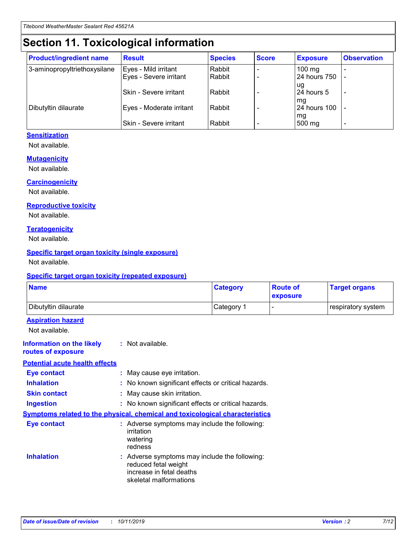## **Section 11. Toxicological information**

| <b>Product/ingredient name</b> | <b>Result</b>            | <b>Species</b> | <b>Score</b> | <b>Exposure</b>           | <b>Observation</b> |
|--------------------------------|--------------------------|----------------|--------------|---------------------------|--------------------|
| 3-aminopropyltriethoxysilane   | Eyes - Mild irritant     | Rabbit         |              | $100$ mg                  |                    |
|                                | Eyes - Severe irritant   | Rabbit         |              | 24 hours 750              |                    |
|                                |                          |                |              | ug                        |                    |
|                                | Skin - Severe irritant   | Rabbit         |              | 24 hours 5                | -                  |
| Dibutyltin dilaurate           | Eyes - Moderate irritant | Rabbit         |              | mq<br><b>24 hours 100</b> |                    |
|                                |                          |                |              | mg                        |                    |
|                                | Skin - Severe irritant   | Rabbit         |              | 500 mg                    |                    |

#### **Sensitization**

Not available.

#### **Mutagenicity**

Not available.

#### **Carcinogenicity**

Not available.

#### **Reproductive toxicity**

Not available.

#### **Teratogenicity**

Not available.

#### **Specific target organ toxicity (single exposure)**

Not available.

#### **Specific target organ toxicity (repeated exposure)**

| <b>Name</b>                                                                  |                                                                                                                             | <b>Category</b> | <b>Route of</b><br>exposure  | <b>Target organs</b> |
|------------------------------------------------------------------------------|-----------------------------------------------------------------------------------------------------------------------------|-----------------|------------------------------|----------------------|
| Dibutyltin dilaurate                                                         |                                                                                                                             | Category 1      | $\qquad \qquad \blacksquare$ | respiratory system   |
| <b>Aspiration hazard</b><br>Not available.                                   |                                                                                                                             |                 |                              |                      |
| <b>Information on the likely</b><br>routes of exposure                       | : Not available.                                                                                                            |                 |                              |                      |
| <b>Potential acute health effects</b>                                        |                                                                                                                             |                 |                              |                      |
| <b>Eye contact</b>                                                           | : May cause eye irritation.                                                                                                 |                 |                              |                      |
| <b>Inhalation</b>                                                            | : No known significant effects or critical hazards.                                                                         |                 |                              |                      |
| <b>Skin contact</b>                                                          | : May cause skin irritation.                                                                                                |                 |                              |                      |
| <b>Ingestion</b>                                                             | : No known significant effects or critical hazards.                                                                         |                 |                              |                      |
| Symptoms related to the physical, chemical and toxicological characteristics |                                                                                                                             |                 |                              |                      |
| <b>Eye contact</b>                                                           | : Adverse symptoms may include the following:<br>irritation<br>watering<br>redness                                          |                 |                              |                      |
| <b>Inhalation</b>                                                            | : Adverse symptoms may include the following:<br>reduced fetal weight<br>increase in fetal deaths<br>skeletal malformations |                 |                              |                      |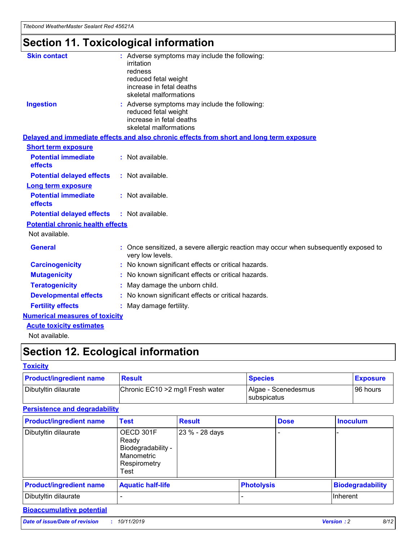## **Section 11. Toxicological information**

| <b>Skin contact</b>                     | : Adverse symptoms may include the following:<br>irritation<br>redness<br>reduced fetal weight<br>increase in fetal deaths<br>skeletal malformations |
|-----------------------------------------|------------------------------------------------------------------------------------------------------------------------------------------------------|
| <b>Ingestion</b>                        | : Adverse symptoms may include the following:<br>reduced fetal weight<br>increase in fetal deaths<br>skeletal malformations                          |
|                                         | Delayed and immediate effects and also chronic effects from short and long term exposure                                                             |
| <b>Short term exposure</b>              |                                                                                                                                                      |
| <b>Potential immediate</b><br>effects   | : Not available.                                                                                                                                     |
| <b>Potential delayed effects</b>        | : Not available.                                                                                                                                     |
| <b>Long term exposure</b>               |                                                                                                                                                      |
| <b>Potential immediate</b><br>effects   | : Not available.                                                                                                                                     |
| <b>Potential delayed effects</b>        | : Not available.                                                                                                                                     |
| <b>Potential chronic health effects</b> |                                                                                                                                                      |
| Not available.                          |                                                                                                                                                      |
| <b>General</b>                          | : Once sensitized, a severe allergic reaction may occur when subsequently exposed to<br>very low levels.                                             |
| <b>Carcinogenicity</b>                  | : No known significant effects or critical hazards.                                                                                                  |
| <b>Mutagenicity</b>                     | No known significant effects or critical hazards.                                                                                                    |
| <b>Teratogenicity</b>                   | May damage the unborn child.                                                                                                                         |
| <b>Developmental effects</b>            | No known significant effects or critical hazards.                                                                                                    |
| <b>Fertility effects</b>                | : May damage fertility.                                                                                                                              |
| <b>Numerical measures of toxicity</b>   |                                                                                                                                                      |
| <b>Acute toxicity estimates</b>         |                                                                                                                                                      |
|                                         |                                                                                                                                                      |

Not available.

## **Section 12. Ecological information**

#### **Toxicity**

| <b>Product/ingredient name</b> | <b>Result</b>                     | <b>Species</b>                       | <b>Exposure</b> |
|--------------------------------|-----------------------------------|--------------------------------------|-----------------|
| Dibutyltin dilaurate           | Chronic EC10 > 2 mg/l Fresh water | Algae - Scenedesmus<br>I subspicatus | l 96 hours      |

### **Persistence and degradability**

| <b>Product/ingredient name</b> | <b>Test</b>                                                                    | <b>Result</b>  |                   | <b>Dose</b> | <b>Inoculum</b>         |
|--------------------------------|--------------------------------------------------------------------------------|----------------|-------------------|-------------|-------------------------|
| Dibutyltin dilaurate           | OECD 301F<br>Ready<br>Biodegradability -<br>Manometric<br>Respirometry<br>Test | 23 % - 28 days |                   |             |                         |
| <b>Product/ingredient name</b> | <b>Aquatic half-life</b>                                                       |                | <b>Photolysis</b> |             | <b>Biodegradability</b> |
| Dibutyltin dilaurate           |                                                                                |                |                   |             | Inherent                |

### **Bioaccumulative potential**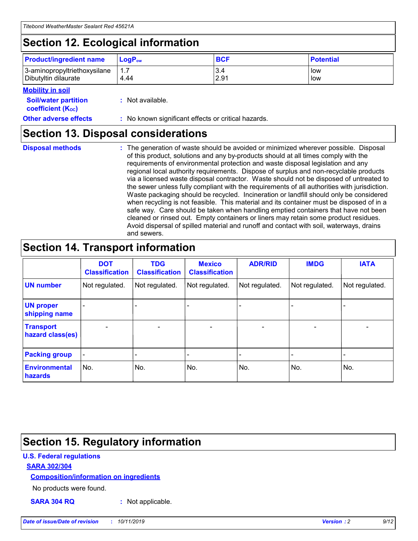## **Section 12. Ecological information**

| <b>Product/ingredient name</b> | $LoaPow$ | <b>BCF</b> | <b>Potential</b> |
|--------------------------------|----------|------------|------------------|
| 3-aminopropyltriethoxysilane   | 1.7      | 3.4        | low              |
| Dibutyltin dilaurate           | 4.44     | 2.91       | low              |

#### **Mobility in soil**

| <b>Soil/water partition</b><br>coefficient (K <sub>oc</sub> ) | : Not available.                                    |
|---------------------------------------------------------------|-----------------------------------------------------|
| <b>Other adverse effects</b>                                  | : No known significant effects or critical hazards. |

### **Section 13. Disposal considerations**

**Disposal methods :**

The generation of waste should be avoided or minimized wherever possible. Disposal of this product, solutions and any by-products should at all times comply with the requirements of environmental protection and waste disposal legislation and any regional local authority requirements. Dispose of surplus and non-recyclable products via a licensed waste disposal contractor. Waste should not be disposed of untreated to the sewer unless fully compliant with the requirements of all authorities with jurisdiction. Waste packaging should be recycled. Incineration or landfill should only be considered when recycling is not feasible. This material and its container must be disposed of in a safe way. Care should be taken when handling emptied containers that have not been cleaned or rinsed out. Empty containers or liners may retain some product residues. Avoid dispersal of spilled material and runoff and contact with soil, waterways, drains and sewers.

## **Section 14. Transport information**

|                                      | <b>DOT</b><br><b>Classification</b> | <b>TDG</b><br><b>Classification</b> | <b>Mexico</b><br><b>Classification</b> | <b>ADR/RID</b>               | <b>IMDG</b>    | <b>IATA</b>    |
|--------------------------------------|-------------------------------------|-------------------------------------|----------------------------------------|------------------------------|----------------|----------------|
| <b>UN number</b>                     | Not regulated.                      | Not regulated.                      | Not regulated.                         | Not regulated.               | Not regulated. | Not regulated. |
| <b>UN proper</b><br>shipping name    |                                     |                                     |                                        |                              |                |                |
| <b>Transport</b><br>hazard class(es) | $\blacksquare$                      | $\overline{\phantom{0}}$            | $\overline{\phantom{a}}$               | $\qquad \qquad \blacksquare$ | $\blacksquare$ | $\blacksquare$ |
| <b>Packing group</b>                 | $\overline{\phantom{a}}$            | -                                   |                                        | -                            |                | -              |
| <b>Environmental</b><br>hazards      | No.                                 | No.                                 | No.                                    | No.                          | No.            | No.            |

## **Section 15. Regulatory information**

#### **U.S. Federal regulations**

#### **SARA 302/304**

#### **Composition/information on ingredients**

No products were found.

**SARA 304 RQ :** Not applicable.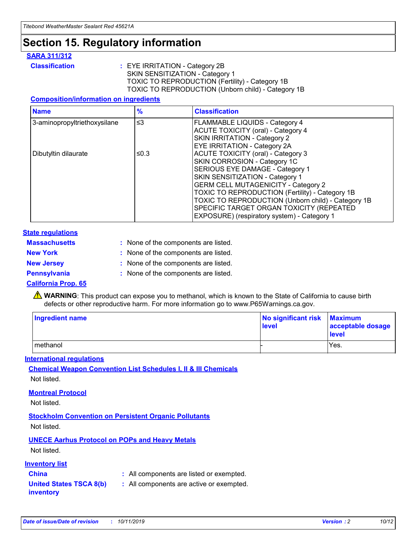## **Section 15. Regulatory information**

#### **SARA 311/312**

**Classification :** EYE IRRITATION - Category 2B SKIN SENSITIZATION - Category 1 TOXIC TO REPRODUCTION (Fertility) - Category 1B TOXIC TO REPRODUCTION (Unborn child) - Category 1B

#### **Composition/information on ingredients**

| <b>Name</b>                              | $\frac{9}{6}$ | <b>Classification</b>                                                                                            |
|------------------------------------------|---------------|------------------------------------------------------------------------------------------------------------------|
| $\leq$ 3<br>3-aminopropyltriethoxysilane |               | <b>FLAMMABLE LIQUIDS - Category 4</b><br><b>ACUTE TOXICITY (oral) - Category 4</b>                               |
|                                          |               | SKIN IRRITATION - Category 2<br>EYE IRRITATION - Category 2A                                                     |
| Dibutyltin dilaurate                     | ≤0.3          | ACUTE TOXICITY (oral) - Category 3<br>SKIN CORROSION - Category 1C                                               |
|                                          |               | SERIOUS EYE DAMAGE - Category 1<br>SKIN SENSITIZATION - Category 1<br><b>GERM CELL MUTAGENICITY - Category 2</b> |
|                                          |               | TOXIC TO REPRODUCTION (Fertility) - Category 1B<br>TOXIC TO REPRODUCTION (Unborn child) - Category 1B            |
|                                          |               | SPECIFIC TARGET ORGAN TOXICITY (REPEATED<br>EXPOSURE) (respiratory system) - Category 1                          |

#### **State regulations**

| <b>Massachusetts</b> | : None of the components are listed. |
|----------------------|--------------------------------------|
| <b>New York</b>      | : None of the components are listed. |
| <b>New Jersey</b>    | : None of the components are listed. |
| <b>Pennsylvania</b>  | : None of the components are listed. |

#### **California Prop. 65**

**A** WARNING: This product can expose you to methanol, which is known to the State of California to cause birth defects or other reproductive harm. For more information go to www.P65Warnings.ca.gov.

| <b>Ingredient name</b> | No significant risk Maximum<br>level | acceptable dosage<br>level |
|------------------------|--------------------------------------|----------------------------|
| methanol               |                                      | Yes.                       |

#### **International regulations**

**Chemical Weapon Convention List Schedules I, II & III Chemicals** Not listed.

#### **Montreal Protocol**

Not listed.

**Stockholm Convention on Persistent Organic Pollutants**

Not listed.

### **UNECE Aarhus Protocol on POPs and Heavy Metals**

Not listed.

#### **Inventory list**

### **China :** All components are listed or exempted.

**United States TSCA 8(b) inventory :** All components are active or exempted.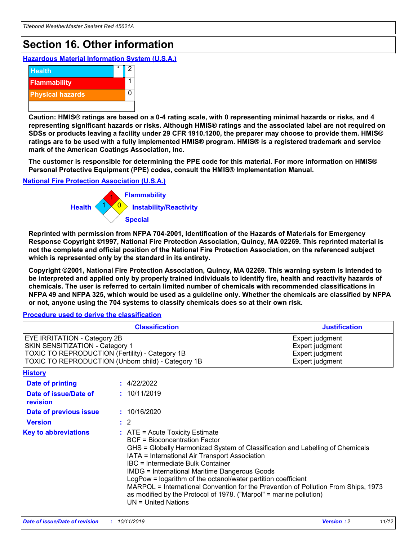## **Section 16. Other information**

**Hazardous Material Information System (U.S.A.)**



**Caution: HMIS® ratings are based on a 0-4 rating scale, with 0 representing minimal hazards or risks, and 4 representing significant hazards or risks. Although HMIS® ratings and the associated label are not required on SDSs or products leaving a facility under 29 CFR 1910.1200, the preparer may choose to provide them. HMIS® ratings are to be used with a fully implemented HMIS® program. HMIS® is a registered trademark and service mark of the American Coatings Association, Inc.**

**The customer is responsible for determining the PPE code for this material. For more information on HMIS® Personal Protective Equipment (PPE) codes, consult the HMIS® Implementation Manual.**

#### **National Fire Protection Association (U.S.A.)**



**Reprinted with permission from NFPA 704-2001, Identification of the Hazards of Materials for Emergency Response Copyright ©1997, National Fire Protection Association, Quincy, MA 02269. This reprinted material is not the complete and official position of the National Fire Protection Association, on the referenced subject which is represented only by the standard in its entirety.**

**Copyright ©2001, National Fire Protection Association, Quincy, MA 02269. This warning system is intended to be interpreted and applied only by properly trained individuals to identify fire, health and reactivity hazards of chemicals. The user is referred to certain limited number of chemicals with recommended classifications in NFPA 49 and NFPA 325, which would be used as a guideline only. Whether the chemicals are classified by NFPA or not, anyone using the 704 systems to classify chemicals does so at their own risk.**

#### **Procedure used to derive the classification**

| <b>Classification</b>                                                                                                                                                                  |                                                                                                                                                                                                                                                                   | <b>Justification</b>                                                                                                                                                                                                                                                                                       |  |
|----------------------------------------------------------------------------------------------------------------------------------------------------------------------------------------|-------------------------------------------------------------------------------------------------------------------------------------------------------------------------------------------------------------------------------------------------------------------|------------------------------------------------------------------------------------------------------------------------------------------------------------------------------------------------------------------------------------------------------------------------------------------------------------|--|
| <b>EYE IRRITATION - Category 2B</b><br>SKIN SENSITIZATION - Category 1<br><b>TOXIC TO REPRODUCTION (Fertility) - Category 1B</b><br>TOXIC TO REPRODUCTION (Unborn child) - Category 1B |                                                                                                                                                                                                                                                                   | Expert judgment<br>Expert judgment<br>Expert judgment<br>Expert judgment                                                                                                                                                                                                                                   |  |
| <b>History</b>                                                                                                                                                                         |                                                                                                                                                                                                                                                                   |                                                                                                                                                                                                                                                                                                            |  |
| <b>Date of printing</b>                                                                                                                                                                | : 4/22/2022                                                                                                                                                                                                                                                       |                                                                                                                                                                                                                                                                                                            |  |
| Date of issue/Date of<br>revision                                                                                                                                                      | : 10/11/2019                                                                                                                                                                                                                                                      |                                                                                                                                                                                                                                                                                                            |  |
| Date of previous issue                                                                                                                                                                 | : 10/16/2020                                                                                                                                                                                                                                                      |                                                                                                                                                                                                                                                                                                            |  |
| <b>Version</b>                                                                                                                                                                         | $\therefore$ 2                                                                                                                                                                                                                                                    |                                                                                                                                                                                                                                                                                                            |  |
| <b>Key to abbreviations</b>                                                                                                                                                            | $\therefore$ ATE = Acute Toxicity Estimate<br><b>BCF</b> = Bioconcentration Factor<br>IATA = International Air Transport Association<br><b>IBC</b> = Intermediate Bulk Container<br><b>IMDG = International Maritime Dangerous Goods</b><br>$UN = United Nations$ | GHS = Globally Harmonized System of Classification and Labelling of Chemicals<br>LogPow = logarithm of the octanol/water partition coefficient<br>MARPOL = International Convention for the Prevention of Pollution From Ships, 1973<br>as modified by the Protocol of 1978. ("Marpol" = marine pollution) |  |